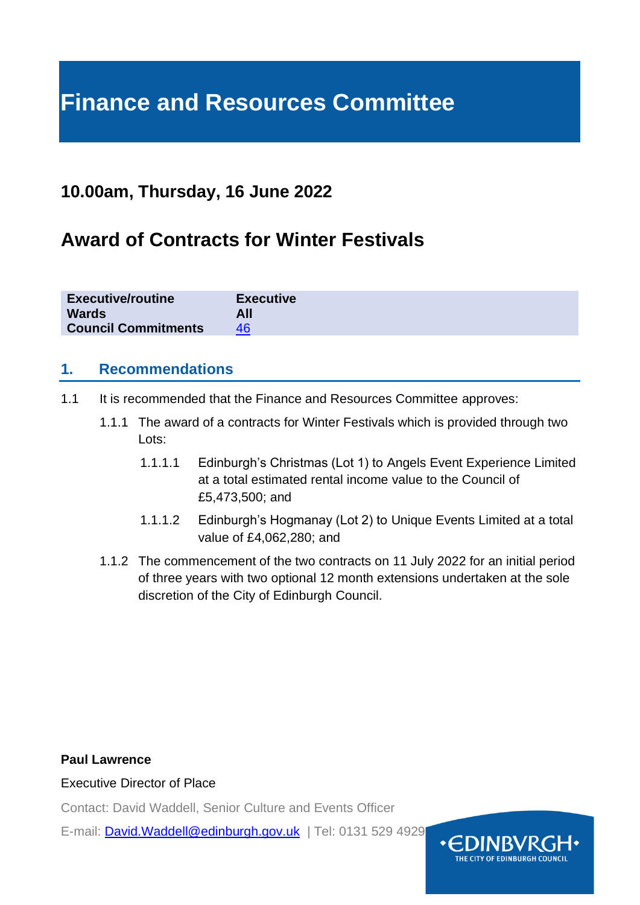# **Finance and Resources Committee**

# **10.00am, Thursday, 16 June 2022**

# **Award of Contracts for Winter Festivals**

| <b>Executive/routine</b>   | <b>Executive</b> |
|----------------------------|------------------|
| <b>Wards</b>               |                  |
| <b>Council Commitments</b> |                  |

## **1. Recommendations**

- 1.1 It is recommended that the Finance and Resources Committee approves:
	- 1.1.1 The award of a contracts for Winter Festivals which is provided through two Lots:
		- 1.1.1.1 Edinburgh's Christmas (Lot 1) to Angels Event Experience Limited at a total estimated rental income value to the Council of £5,473,500; and
		- 1.1.1.2 Edinburgh's Hogmanay (Lot 2) to Unique Events Limited at a total value of £4,062,280; and
	- 1.1.2 The commencement of the two contracts on 11 July 2022 for an initial period of three years with two optional 12 month extensions undertaken at the sole discretion of the City of Edinburgh Council.

#### **Paul Lawrence**

Executive Director of Place

Contact: David Waddell, Senior Culture and Events Officer

E-mail: [David.Waddell@edinburgh.gov.uk](mailto:David.Waddell@edinburgh.gov.uk) | Tel: 0131 529 4929

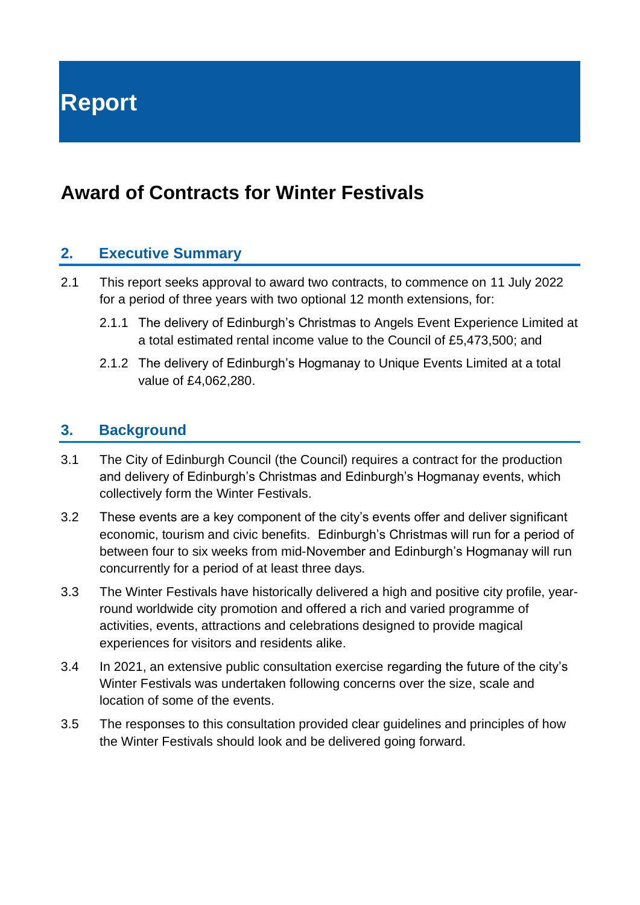**Report**

# **Award of Contracts for Winter Festivals**

## **2. Executive Summary**

- 2.1 This report seeks approval to award two contracts, to commence on 11 July 2022 for a period of three years with two optional 12 month extensions, for:
	- 2.1.1 The delivery of Edinburgh's Christmas to Angels Event Experience Limited at a total estimated rental income value to the Council of £5,473,500; and
	- 2.1.2 The delivery of Edinburgh's Hogmanay to Unique Events Limited at a total value of £4,062,280.

### **3. Background**

- 3.1 The City of Edinburgh Council (the Council) requires a contract for the production and delivery of Edinburgh's Christmas and Edinburgh's Hogmanay events, which collectively form the Winter Festivals.
- 3.2 These events are a key component of the city's events offer and deliver significant economic, tourism and civic benefits. Edinburgh's Christmas will run for a period of between four to six weeks from mid-November and Edinburgh's Hogmanay will run concurrently for a period of at least three days.
- 3.3 The Winter Festivals have historically delivered a high and positive city profile, yearround worldwide city promotion and offered a rich and varied programme of activities, events, attractions and celebrations designed to provide magical experiences for visitors and residents alike.
- 3.4 In 2021, an extensive public consultation exercise regarding the future of the city's Winter Festivals was undertaken following concerns over the size, scale and location of some of the events.
- 3.5 The responses to this consultation provided clear guidelines and principles of how the Winter Festivals should look and be delivered going forward.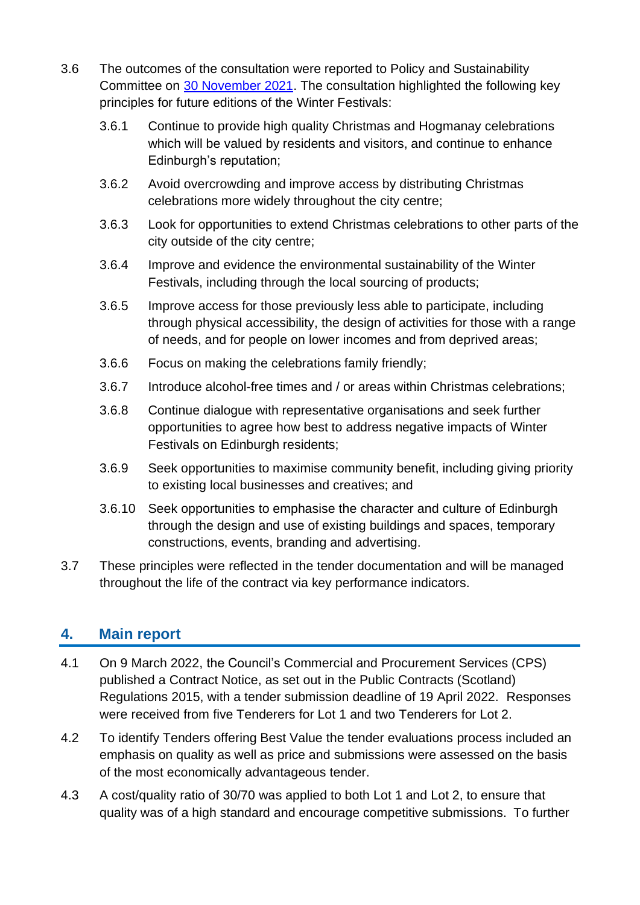- 3.6 The outcomes of the consultation were reported to Policy and Sustainability Committee on [30 November 2021.](https://democracy.edinburgh.gov.uk/ieListDocuments.aspx?CId=135&MId=6005&Ver=4) The consultation highlighted the following key principles for future editions of the Winter Festivals:
	- 3.6.1 Continue to provide high quality Christmas and Hogmanay celebrations which will be valued by residents and visitors, and continue to enhance Edinburgh's reputation;
	- 3.6.2 Avoid overcrowding and improve access by distributing Christmas celebrations more widely throughout the city centre;
	- 3.6.3 Look for opportunities to extend Christmas celebrations to other parts of the city outside of the city centre;
	- 3.6.4 Improve and evidence the environmental sustainability of the Winter Festivals, including through the local sourcing of products;
	- 3.6.5 Improve access for those previously less able to participate, including through physical accessibility, the design of activities for those with a range of needs, and for people on lower incomes and from deprived areas;
	- 3.6.6 Focus on making the celebrations family friendly;
	- 3.6.7 Introduce alcohol-free times and / or areas within Christmas celebrations;
	- 3.6.8 Continue dialogue with representative organisations and seek further opportunities to agree how best to address negative impacts of Winter Festivals on Edinburgh residents;
	- 3.6.9 Seek opportunities to maximise community benefit, including giving priority to existing local businesses and creatives; and
	- 3.6.10 Seek opportunities to emphasise the character and culture of Edinburgh through the design and use of existing buildings and spaces, temporary constructions, events, branding and advertising.
- 3.7 These principles were reflected in the tender documentation and will be managed throughout the life of the contract via key performance indicators.

# **4. Main report**

- 4.1 On 9 March 2022, the Council's Commercial and Procurement Services (CPS) published a Contract Notice, as set out in the Public Contracts (Scotland) Regulations 2015, with a tender submission deadline of 19 April 2022. Responses were received from five Tenderers for Lot 1 and two Tenderers for Lot 2.
- 4.2 To identify Tenders offering Best Value the tender evaluations process included an emphasis on quality as well as price and submissions were assessed on the basis of the most economically advantageous tender.
- 4.3 A cost/quality ratio of 30/70 was applied to both Lot 1 and Lot 2, to ensure that quality was of a high standard and encourage competitive submissions. To further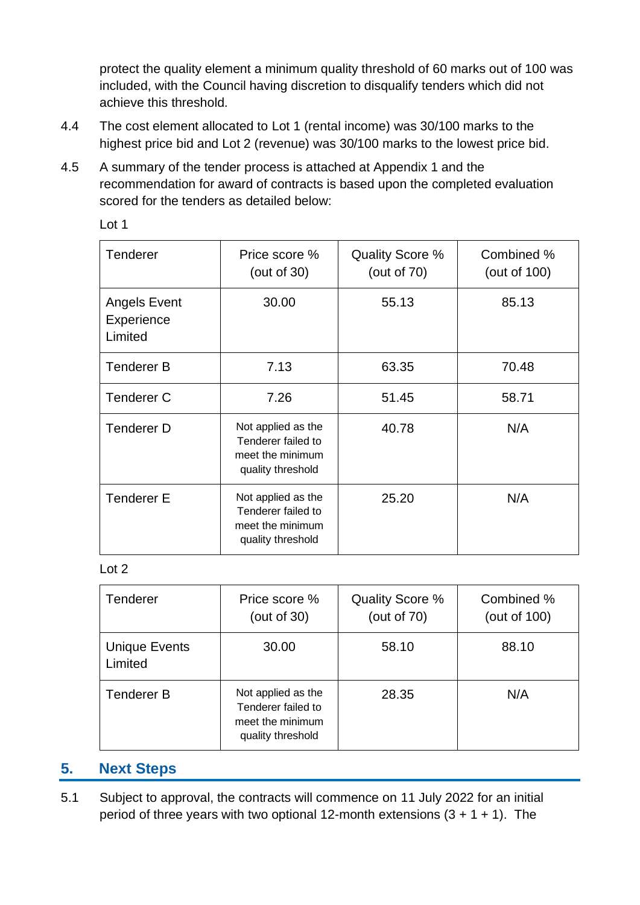protect the quality element a minimum quality threshold of 60 marks out of 100 was included, with the Council having discretion to disqualify tenders which did not achieve this threshold.

- 4.4 The cost element allocated to Lot 1 (rental income) was 30/100 marks to the highest price bid and Lot 2 (revenue) was 30/100 marks to the lowest price bid.
- 4.5 A summary of the tender process is attached at Appendix 1 and the recommendation for award of contracts is based upon the completed evaluation scored for the tenders as detailed below:

| ۰.<br>۹<br>× |  |
|--------------|--|
|--------------|--|

| <b>Tenderer</b>                       | Price score %<br>(out of $30$ )                                                   | Quality Score %<br>(out of $70$ ) | Combined %<br>(out of 100) |
|---------------------------------------|-----------------------------------------------------------------------------------|-----------------------------------|----------------------------|
| Angels Event<br>Experience<br>Limited | 30.00                                                                             | 55.13                             | 85.13                      |
| <b>Tenderer B</b>                     | 7.13                                                                              | 63.35                             | 70.48                      |
| <b>Tenderer C</b>                     | 7.26                                                                              | 51.45                             | 58.71                      |
| <b>Tenderer D</b>                     | Not applied as the<br>Tenderer failed to<br>meet the minimum<br>quality threshold | 40.78                             | N/A                        |
| <b>Tenderer E</b>                     | Not applied as the<br>Tenderer failed to<br>meet the minimum<br>quality threshold | 25.20                             | N/A                        |

#### Lot 2

| Tenderer                        | Price score %<br>(out of $30$ )                                                   | Quality Score %<br>(out of $70$ ) | Combined %<br>(out of 100) |
|---------------------------------|-----------------------------------------------------------------------------------|-----------------------------------|----------------------------|
| <b>Unique Events</b><br>Limited | 30.00                                                                             | 58.10                             | 88.10                      |
| <b>Tenderer B</b>               | Not applied as the<br>Tenderer failed to<br>meet the minimum<br>quality threshold | 28.35                             | N/A                        |

## **5. Next Steps**

5.1 Subject to approval, the contracts will commence on 11 July 2022 for an initial period of three years with two optional 12-month extensions  $(3 + 1 + 1)$ . The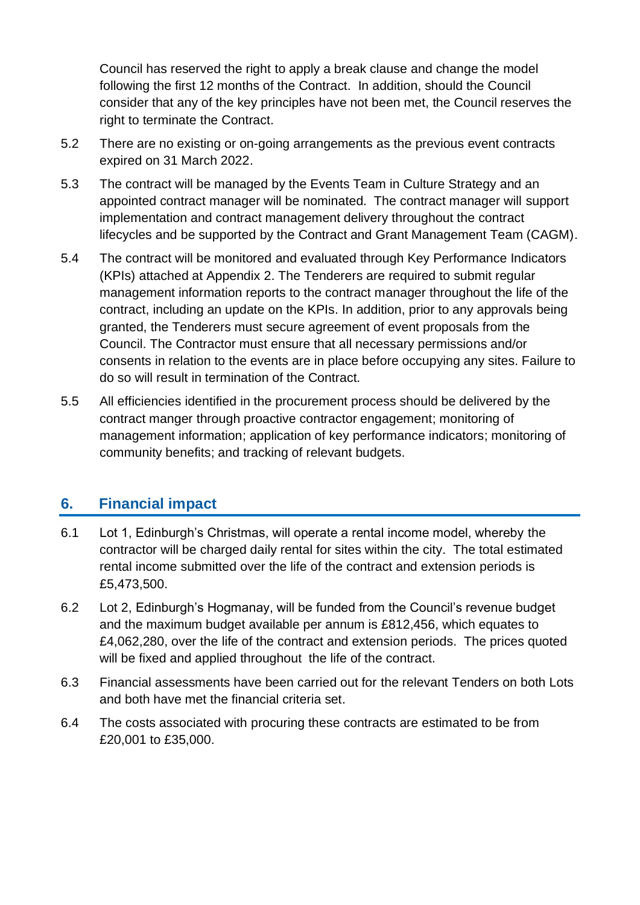Council has reserved the right to apply a break clause and change the model following the first 12 months of the Contract. In addition, should the Council consider that any of the key principles have not been met, the Council reserves the right to terminate the Contract.

- 5.2 There are no existing or on-going arrangements as the previous event contracts expired on 31 March 2022.
- 5.3 The contract will be managed by the Events Team in Culture Strategy and an appointed contract manager will be nominated. The contract manager will support implementation and contract management delivery throughout the contract lifecycles and be supported by the Contract and Grant Management Team (CAGM).
- 5.4 The contract will be monitored and evaluated through Key Performance Indicators (KPIs) attached at Appendix 2. The Tenderers are required to submit regular management information reports to the contract manager throughout the life of the contract, including an update on the KPIs. In addition, prior to any approvals being granted, the Tenderers must secure agreement of event proposals from the Council. The Contractor must ensure that all necessary permissions and/or consents in relation to the events are in place before occupying any sites. Failure to do so will result in termination of the Contract.
- 5.5 All efficiencies identified in the procurement process should be delivered by the contract manger through proactive contractor engagement; monitoring of management information; application of key performance indicators; monitoring of community benefits; and tracking of relevant budgets.

# **6. Financial impact**

- 6.1 Lot 1, Edinburgh's Christmas, will operate a rental income model, whereby the contractor will be charged daily rental for sites within the city. The total estimated rental income submitted over the life of the contract and extension periods is £5,473,500.
- 6.2 Lot 2, Edinburgh's Hogmanay, will be funded from the Council's revenue budget and the maximum budget available per annum is £812,456, which equates to £4,062,280, over the life of the contract and extension periods. The prices quoted will be fixed and applied throughout the life of the contract.
- 6.3 Financial assessments have been carried out for the relevant Tenders on both Lots and both have met the financial criteria set.
- 6.4 The costs associated with procuring these contracts are estimated to be from £20,001 to £35,000.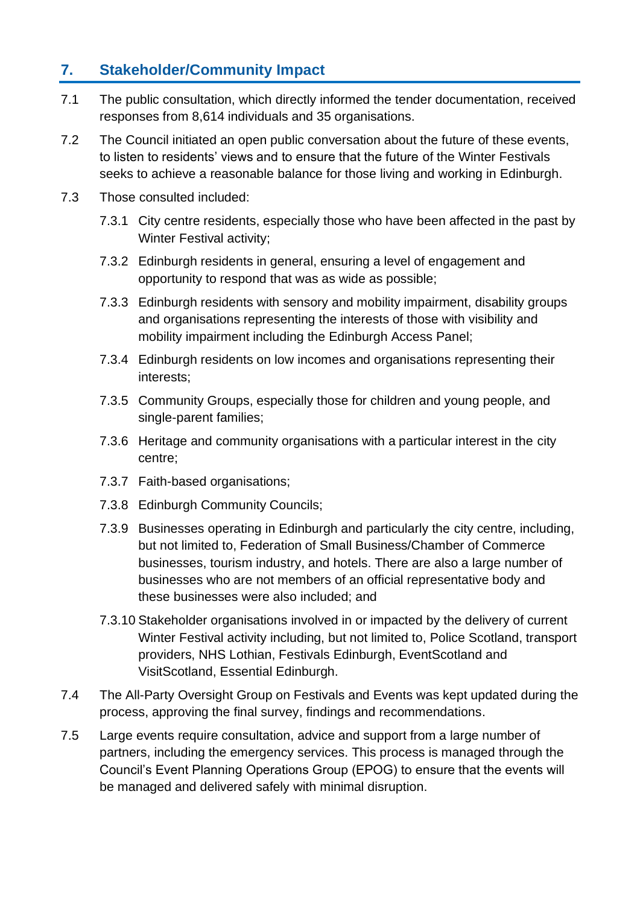# **7. Stakeholder/Community Impact**

- 7.1 The public consultation, which directly informed the tender documentation, received responses from 8,614 individuals and 35 organisations.
- 7.2 The Council initiated an open public conversation about the future of these events, to listen to residents' views and to ensure that the future of the Winter Festivals seeks to achieve a reasonable balance for those living and working in Edinburgh.
- 7.3 Those consulted included:
	- 7.3.1 City centre residents, especially those who have been affected in the past by Winter Festival activity;
	- 7.3.2 Edinburgh residents in general, ensuring a level of engagement and opportunity to respond that was as wide as possible;
	- 7.3.3 Edinburgh residents with sensory and mobility impairment, disability groups and organisations representing the interests of those with visibility and mobility impairment including the Edinburgh Access Panel;
	- 7.3.4 Edinburgh residents on low incomes and organisations representing their interests;
	- 7.3.5 Community Groups, especially those for children and young people, and single-parent families;
	- 7.3.6 Heritage and community organisations with a particular interest in the city centre;
	- 7.3.7 Faith-based organisations;
	- 7.3.8 Edinburgh Community Councils;
	- 7.3.9 Businesses operating in Edinburgh and particularly the city centre, including, but not limited to, Federation of Small Business/Chamber of Commerce businesses, tourism industry, and hotels. There are also a large number of businesses who are not members of an official representative body and these businesses were also included; and
	- 7.3.10 Stakeholder organisations involved in or impacted by the delivery of current Winter Festival activity including, but not limited to, Police Scotland, transport providers, NHS Lothian, Festivals Edinburgh, EventScotland and VisitScotland, Essential Edinburgh.
- 7.4 The All-Party Oversight Group on Festivals and Events was kept updated during the process, approving the final survey, findings and recommendations.
- 7.5 Large events require consultation, advice and support from a large number of partners, including the emergency services. This process is managed through the Council's Event Planning Operations Group (EPOG) to ensure that the events will be managed and delivered safely with minimal disruption.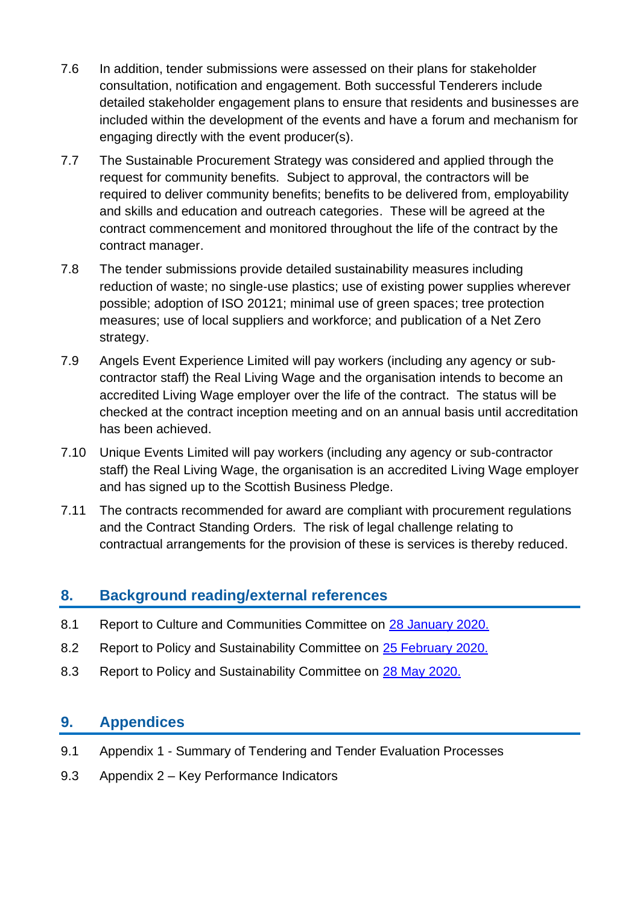- 7.6 In addition, tender submissions were assessed on their plans for stakeholder consultation, notification and engagement. Both successful Tenderers include detailed stakeholder engagement plans to ensure that residents and businesses are included within the development of the events and have a forum and mechanism for engaging directly with the event producer(s).
- 7.7 The Sustainable Procurement Strategy was considered and applied through the request for community benefits. Subject to approval, the contractors will be required to deliver community benefits; benefits to be delivered from, employability and skills and education and outreach categories. These will be agreed at the contract commencement and monitored throughout the life of the contract by the contract manager.
- 7.8 The tender submissions provide detailed sustainability measures including reduction of waste; no single-use plastics; use of existing power supplies wherever possible; adoption of ISO 20121; minimal use of green spaces; tree protection measures; use of local suppliers and workforce; and publication of a Net Zero strategy.
- 7.9 Angels Event Experience Limited will pay workers (including any agency or subcontractor staff) the Real Living Wage and the organisation intends to become an accredited Living Wage employer over the life of the contract. The status will be checked at the contract inception meeting and on an annual basis until accreditation has been achieved.
- 7.10 Unique Events Limited will pay workers (including any agency or sub-contractor staff) the Real Living Wage, the organisation is an accredited Living Wage employer and has signed up to the Scottish Business Pledge.
- 7.11 The contracts recommended for award are compliant with procurement regulations and the Contract Standing Orders. The risk of legal challenge relating to contractual arrangements for the provision of these is services is thereby reduced.

# **8. Background reading/external references**

- 8.1 Report to Culture and Communities Committee on [28 January 2020.](https://democracy.edinburgh.gov.uk/ieListDocuments.aspx?CId=139&MId=454&Ver=4)
- 8.2 Report to Policy and Sustainability Committee on [25 February 2020.](https://democracy.edinburgh.gov.uk/ieListDocuments.aspx?CId=135&MId=303&Ver=4)
- 8.3 Report to Policy and Sustainability Committee on 28 [May 2020.](https://democracy.edinburgh.gov.uk/ieListDocuments.aspx?CId=135&MId=5512&Ver=4)

## **9. Appendices**

- 9.1 Appendix 1 Summary of Tendering and Tender Evaluation Processes
- 9.3 Appendix 2 Key Performance Indicators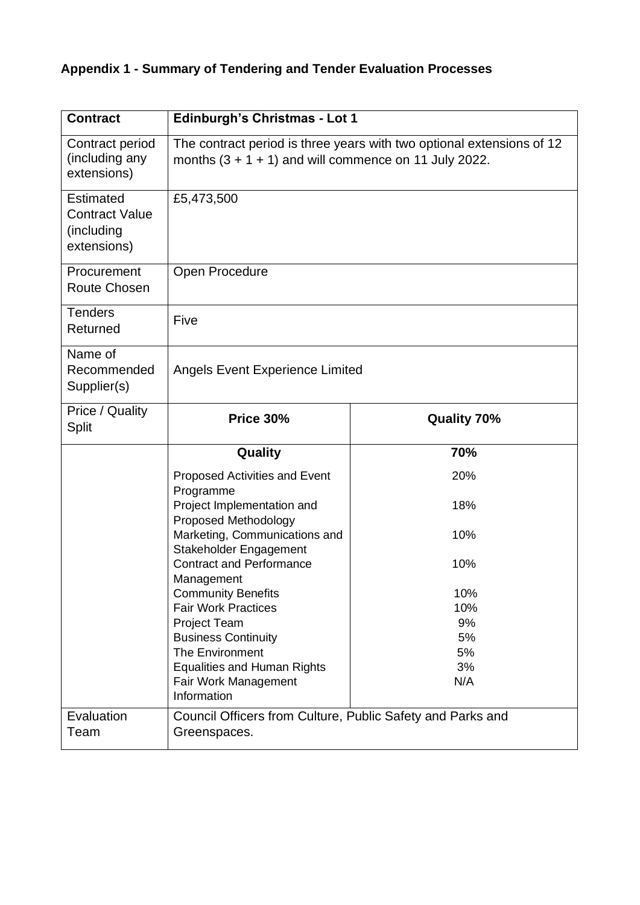# **Appendix 1 - Summary of Tendering and Tender Evaluation Processes**

| <b>Contract</b>                                                 | <b>Edinburgh's Christmas - Lot 1</b>                                                                                             |                    |  |
|-----------------------------------------------------------------|----------------------------------------------------------------------------------------------------------------------------------|--------------------|--|
| Contract period<br>(including any<br>extensions)                | The contract period is three years with two optional extensions of 12<br>months $(3 + 1 + 1)$ and will commence on 11 July 2022. |                    |  |
| Estimated<br><b>Contract Value</b><br>(including<br>extensions) | £5,473,500                                                                                                                       |                    |  |
| Procurement<br>Route Chosen                                     | Open Procedure                                                                                                                   |                    |  |
| <b>Tenders</b><br>Returned                                      | Five                                                                                                                             |                    |  |
| Name of<br>Recommended<br>Supplier(s)                           | <b>Angels Event Experience Limited</b>                                                                                           |                    |  |
| Price / Quality<br><b>Split</b>                                 | <b>Price 30%</b>                                                                                                                 | <b>Quality 70%</b> |  |
|                                                                 | Quality                                                                                                                          | 70%                |  |
|                                                                 | Proposed Activities and Event<br>Programme                                                                                       | 20%                |  |
|                                                                 | Project Implementation and<br>Proposed Methodology                                                                               | 18%                |  |
|                                                                 | Marketing, Communications and<br>Stakeholder Engagement                                                                          | 10%                |  |
|                                                                 | <b>Contract and Performance</b><br>Management                                                                                    | 10%                |  |
|                                                                 | <b>Community Benefits</b>                                                                                                        | 10%                |  |
|                                                                 | <b>Fair Work Practices</b>                                                                                                       | 10%                |  |
|                                                                 | <b>Project Team</b>                                                                                                              | 9%                 |  |
|                                                                 | <b>Business Continuity</b>                                                                                                       | 5%                 |  |
|                                                                 | <b>The Environment</b>                                                                                                           | 5%                 |  |
|                                                                 | <b>Equalities and Human Rights</b>                                                                                               | 3%                 |  |
|                                                                 | Fair Work Management<br>Information                                                                                              | N/A                |  |
| Evaluation                                                      | Council Officers from Culture, Public Safety and Parks and                                                                       |                    |  |
| Team                                                            | Greenspaces.                                                                                                                     |                    |  |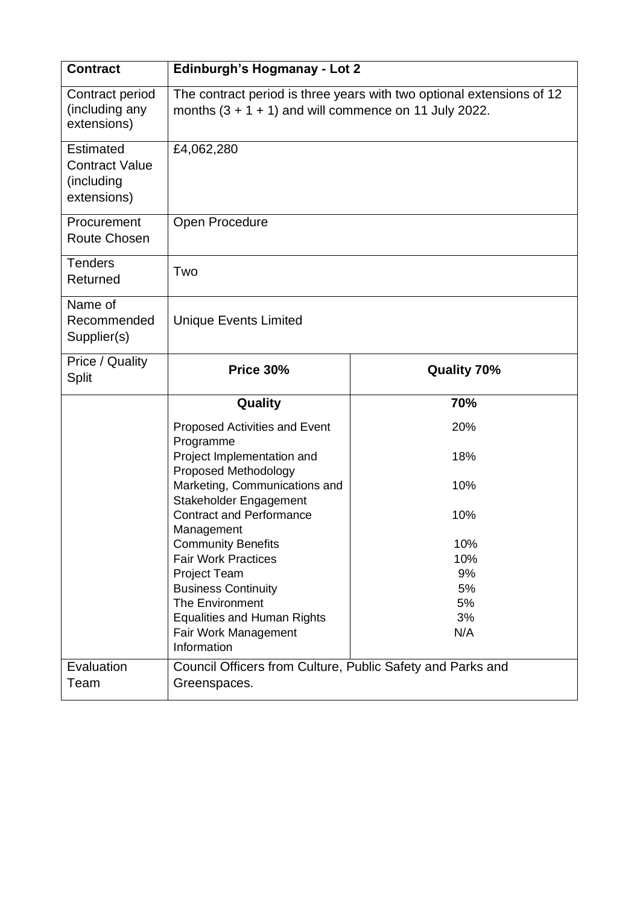| <b>Contract</b>                                                        | <b>Edinburgh's Hogmanay - Lot 2</b>                                                                                              |                    |  |
|------------------------------------------------------------------------|----------------------------------------------------------------------------------------------------------------------------------|--------------------|--|
| Contract period<br>(including any<br>extensions)                       | The contract period is three years with two optional extensions of 12<br>months $(3 + 1 + 1)$ and will commence on 11 July 2022. |                    |  |
| <b>Estimated</b><br><b>Contract Value</b><br>(including<br>extensions) | £4,062,280                                                                                                                       |                    |  |
| Procurement<br><b>Route Chosen</b>                                     | Open Procedure                                                                                                                   |                    |  |
| <b>Tenders</b><br>Returned                                             | Two                                                                                                                              |                    |  |
| Name of<br>Recommended<br>Supplier(s)                                  | <b>Unique Events Limited</b>                                                                                                     |                    |  |
| Price / Quality<br><b>Split</b>                                        | Price 30%                                                                                                                        | <b>Quality 70%</b> |  |
|                                                                        | Quality                                                                                                                          | 70%                |  |
|                                                                        | Proposed Activities and Event<br>Programme                                                                                       | 20%                |  |
|                                                                        | Project Implementation and                                                                                                       | 18%                |  |
|                                                                        | Proposed Methodology<br>Marketing, Communications and<br>Stakeholder Engagement                                                  | 10%                |  |
|                                                                        | <b>Contract and Performance</b><br>Management                                                                                    | 10%                |  |
|                                                                        | <b>Community Benefits</b>                                                                                                        | 10%                |  |
|                                                                        | <b>Fair Work Practices</b>                                                                                                       | 10%                |  |
|                                                                        | <b>Project Team</b>                                                                                                              | 9%                 |  |
|                                                                        | <b>Business Continuity</b>                                                                                                       | 5%                 |  |
|                                                                        | The Environment                                                                                                                  | 5%                 |  |
|                                                                        | <b>Equalities and Human Rights</b>                                                                                               | 3%                 |  |
|                                                                        | Fair Work Management<br>Information                                                                                              | N/A                |  |
| Evaluation                                                             | Council Officers from Culture, Public Safety and Parks and                                                                       |                    |  |
| Team                                                                   | Greenspaces.                                                                                                                     |                    |  |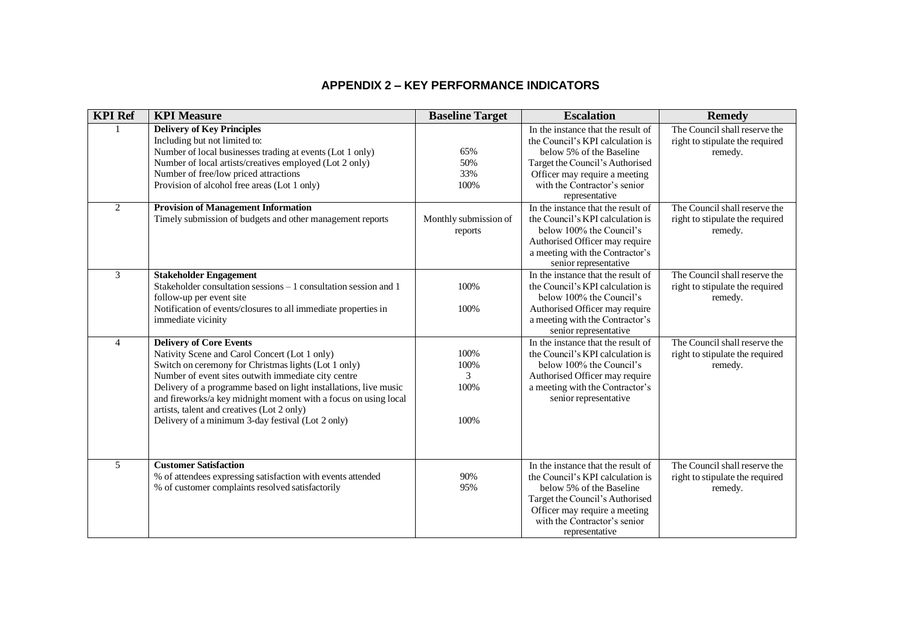#### **APPENDIX 2 – KEY PERFORMANCE INDICATORS**

| <b>KPI Ref</b> | <b>KPI Measure</b>                                                                                                                                                                                                                                                                                                                                                                                                                       | <b>Baseline Target</b>            | <b>Escalation</b>                                                                                                                                                                                                        | <b>Remedy</b>                                                               |
|----------------|------------------------------------------------------------------------------------------------------------------------------------------------------------------------------------------------------------------------------------------------------------------------------------------------------------------------------------------------------------------------------------------------------------------------------------------|-----------------------------------|--------------------------------------------------------------------------------------------------------------------------------------------------------------------------------------------------------------------------|-----------------------------------------------------------------------------|
|                | <b>Delivery of Key Principles</b><br>Including but not limited to:<br>Number of local businesses trading at events (Lot 1 only)<br>Number of local artists/creatives employed (Lot 2 only)<br>Number of free/low priced attractions                                                                                                                                                                                                      | 65%<br>50%<br>33%                 | In the instance that the result of<br>the Council's KPI calculation is<br>below 5% of the Baseline<br>Target the Council's Authorised<br>Officer may require a meeting                                                   | The Council shall reserve the<br>right to stipulate the required<br>remedy. |
|                | Provision of alcohol free areas (Lot 1 only)                                                                                                                                                                                                                                                                                                                                                                                             | 100%                              | with the Contractor's senior<br>representative                                                                                                                                                                           |                                                                             |
| $\overline{2}$ | <b>Provision of Management Information</b><br>Timely submission of budgets and other management reports                                                                                                                                                                                                                                                                                                                                  | Monthly submission of<br>reports  | In the instance that the result of<br>the Council's KPI calculation is<br>below 100% the Council's<br>Authorised Officer may require<br>a meeting with the Contractor's<br>senior representative                         | The Council shall reserve the<br>right to stipulate the required<br>remedy. |
| $\overline{3}$ | <b>Stakeholder Engagement</b><br>Stakeholder consultation sessions – 1 consultation session and 1<br>follow-up per event site<br>Notification of events/closures to all immediate properties in<br>immediate vicinity                                                                                                                                                                                                                    | 100%<br>100%                      | In the instance that the result of<br>the Council's KPI calculation is<br>below 100% the Council's<br>Authorised Officer may require<br>a meeting with the Contractor's<br>senior representative                         | The Council shall reserve the<br>right to stipulate the required<br>remedy. |
| $\overline{4}$ | <b>Delivery of Core Events</b><br>Nativity Scene and Carol Concert (Lot 1 only)<br>Switch on ceremony for Christmas lights (Lot 1 only)<br>Number of event sites outwith immediate city centre<br>Delivery of a programme based on light installations, live music<br>and fireworks/a key midnight moment with a focus on using local<br>artists, talent and creatives (Lot 2 only)<br>Delivery of a minimum 3-day festival (Lot 2 only) | 100%<br>100%<br>3<br>100%<br>100% | In the instance that the result of<br>the Council's KPI calculation is<br>below 100% the Council's<br>Authorised Officer may require<br>a meeting with the Contractor's<br>senior representative                         | The Council shall reserve the<br>right to stipulate the required<br>remedy. |
| 5              | <b>Customer Satisfaction</b><br>% of attendees expressing satisfaction with events attended<br>% of customer complaints resolved satisfactorily                                                                                                                                                                                                                                                                                          | 90%<br>95%                        | In the instance that the result of<br>the Council's KPI calculation is<br>below 5% of the Baseline<br>Target the Council's Authorised<br>Officer may require a meeting<br>with the Contractor's senior<br>representative | The Council shall reserve the<br>right to stipulate the required<br>remedy. |